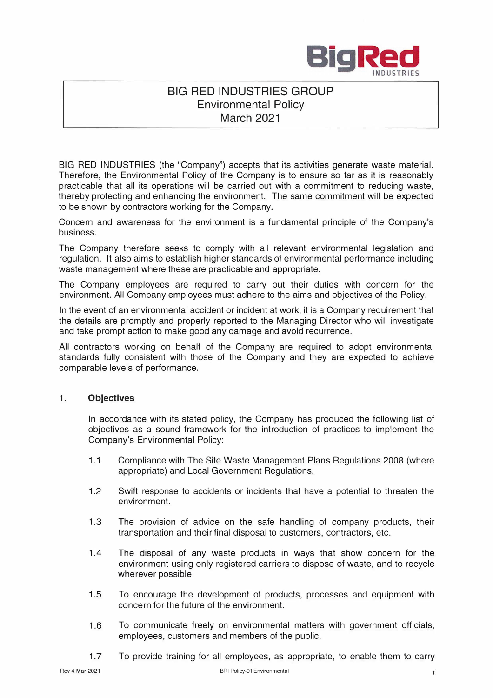

## **BIG RED INDUSTRIES GROUP Environmental Policy March 2021**

BIG RED INDUSTRIES (the "Company") accepts that its activities generate waste material. Therefore, the Environmental Policy of the Company is to ensure so far as it is reasonably practicable that all its operations will be carried out with a commitment to reducing waste, thereby protecting and enhancing the environment. The same commitment will be expected to be shown by contractors working for the Company.

Concern and awareness for the environment is a fundamental principle of the Company's business.

The Company therefore seeks to comply with all relevant environmental legislation and regulation. It also aims to establish higher standards of environmental performance including waste management where these are practicable and appropriate.

The Company employees are required to carry out their duties with concern for the environment. All Company employees must adhere to the aims and objectives of the Policy.

In the event of an environmental accident or incident at work, it is a Company requirement that the details are promptly and properly reported to the Managing Director who will investigate and take prompt action to make good any damage and avoid recurrence.

All contractors working on behalf of the Company are required to adopt environmental standards fully consistent with those of the Company and they are expected to achieve comparable levels of performance.

## **1. Objectives**

In accordance with its stated policy, the Company has produced the following list of objectives as a sound framework for the introduction of practices to implement the Company's Environmental Policy:

- 1.1 Compliance with The Site Waste Management Plans Regulations 2008 (where appropriate) and Local Government Regulations.
- 1.2 Swift response to accidents or incidents that have a potential to threaten the environment.
- 1.3 The provision of advice on the safe handling of company products, their transportation and their final disposal to customers, contractors, etc.
- 1 .4 The disposal of any waste products in ways that show concern for the environment using only registered carriers to dispose of waste, and to recycle wherever possible.
- 1.5 To encourage the development of products, processes and equipment with concern for the future of the environment.
- 1.6 To communicate freely on environmental matters with government officials, employees, customers and members of the public.
- 1.7 To provide training for all employees, as appropriate, to enable them to carry